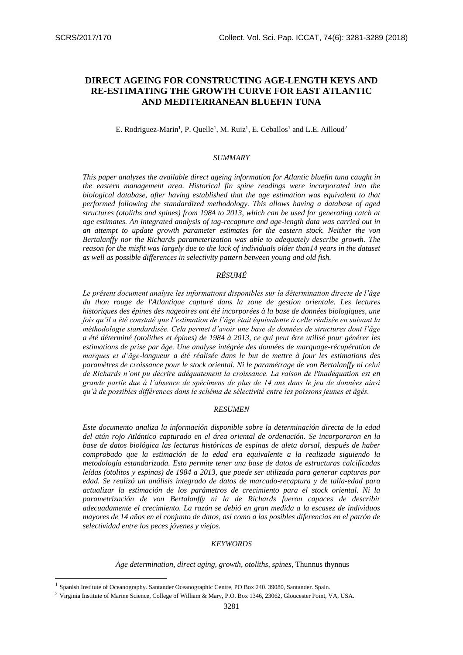-

# **DIRECT AGEING FOR CONSTRUCTING AGE-LENGTH KEYS AND RE-ESTIMATING THE GROWTH CURVE FOR EAST ATLANTIC AND MEDITERRANEAN BLUEFIN TUNA**

# E. Rodriguez-Marin<sup>1</sup>, P. Quelle<sup>1</sup>, M. Ruiz<sup>1</sup>, E. Ceballos<sup>1</sup> and L.E. Ailloud<sup>2</sup>

## *SUMMARY*

*This paper analyzes the available direct ageing information for Atlantic bluefin tuna caught in the eastern management area. Historical fin spine readings were incorporated into the biological database, after having established that the age estimation was equivalent to that performed following the standardized methodology. This allows having a database of aged structures (otoliths and spines) from 1984 to 2013, which can be used for generating catch at age estimates. An integrated analysis of tag-recapture and age-length data was carried out in an attempt to update growth parameter estimates for the eastern stock. Neither the von Bertalanffy nor the Richards parameterization was able to adequately describe growth. The reason for the misfit was largely due to the lack of individuals older than14 years in the dataset as well as possible differences in selectivity pattern between young and old fish.*

# *RÉSUMÉ*

*Le présent document analyse les informations disponibles sur la détermination directe de l'âge du thon rouge de l'Atlantique capturé dans la zone de gestion orientale. Les lectures historiques des épines des nageoires ont été incorporées à la base de données biologiques, une fois qu'il a été constaté que l'estimation de l'âge était équivalente à celle réalisée en suivant la méthodologie standardisée. Cela permet d'avoir une base de données de structures dont l'âge a été déterminé (otolithes et épines) de 1984 à 2013, ce qui peut être utilisé pour générer les estimations de prise par âge. Une analyse intégrée des données de marquage-récupération de marques et d'âge-longueur a été réalisée dans le but de mettre à jour les estimations des paramètres de croissance pour le stock oriental. Ni le paramétrage de von Bertalanffy ni celui de Richards n'ont pu décrire adéquatement la croissance. La raison de l'inadéquation est en grande partie due à l'absence de spécimens de plus de 14 ans dans le jeu de données ainsi qu'à de possibles différences dans le schéma de sélectivité entre les poissons jeunes et âgés.*

#### *RESUMEN*

*Este documento analiza la información disponible sobre la determinación directa de la edad del atún rojo Atlántico capturado en el área oriental de ordenación. Se incorporaron en la base de datos biológica las lecturas históricas de espinas de aleta dorsal, después de haber comprobado que la estimación de la edad era equivalente a la realizada siguiendo la metodología estandarizada. Esto permite tener una base de datos de estructuras calcificadas leídas (otolitos y espinas) de 1984 a 2013, que puede ser utilizada para generar capturas por edad. Se realizó un análisis integrado de datos de marcado-recaptura y de talla-edad para actualizar la estimación de los parámetros de crecimiento para el stock oriental. Ni la parametrización de von Bertalanffy ni la de Richards fueron capaces de describir adecuadamente el crecimiento. La razón se debió en gran medida a la escasez de individuos mayores de 14 años en el conjunto de datos, así como a las posibles diferencias en el patrón de selectividad entre los peces jóvenes y viejos.*

## *KEYWORDS*

*Age determination, direct aging, growth, otoliths, spines,* Thunnus thynnus

<sup>&</sup>lt;sup>1</sup> Spanish Institute of Oceanography. Santander Oceanographic Centre, PO Box 240. 39080, Santander. Spain.

<sup>2</sup> Virginia Institute of Marine Science, College of William & Mary, P.O. Box 1346, 23062, Gloucester Point, VA, USA.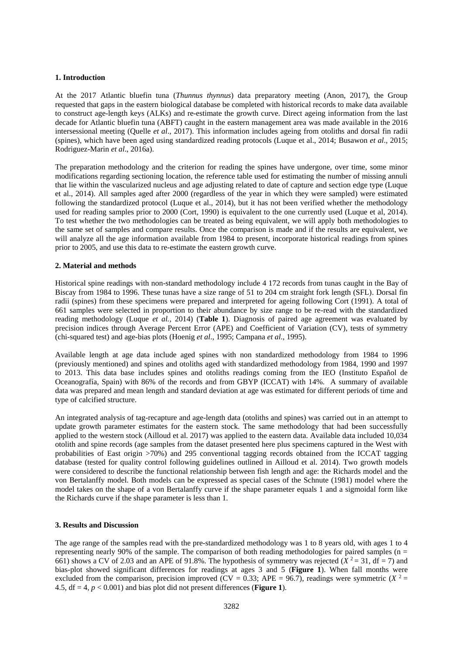## **1. Introduction**

At the 2017 Atlantic bluefin tuna (*Thunnus thynnus*) data preparatory meeting (Anon, 2017), the Group requested that gaps in the eastern biological database be completed with historical records to make data available to construct age-length keys (ALKs) and re-estimate the growth curve. Direct ageing information from the last decade for Atlantic bluefin tuna (ABFT) caught in the eastern management area was made available in the 2016 intersessional meeting (Quelle *et al*., 2017). This information includes ageing from otoliths and dorsal fin radii (spines), which have been aged using standardized reading protocols (Luque et al., 2014; Busawon *et al*., 2015; Rodriguez-Marin *et al*., 2016a).

The preparation methodology and the criterion for reading the spines have undergone, over time, some minor modifications regarding sectioning location, the reference table used for estimating the number of missing annuli that lie within the vascularized nucleus and age adjusting related to date of capture and section edge type (Luque et al., 2014). All samples aged after 2000 (regardless of the year in which they were sampled) were estimated following the standardized protocol (Luque et al., 2014), but it has not been verified whether the methodology used for reading samples prior to 2000 (Cort, 1990) is equivalent to the one currently used (Luque et al, 2014). To test whether the two methodologies can be treated as being equivalent, we will apply both methodologies to the same set of samples and compare results. Once the comparison is made and if the results are equivalent, we will analyze all the age information available from 1984 to present, incorporate historical readings from spines prior to 2005, and use this data to re-estimate the eastern growth curve.

### **2. Material and methods**

Historical spine readings with non-standard methodology include 4 172 records from tunas caught in the Bay of Biscay from 1984 to 1996. These tunas have a size range of 51 to 204 cm straight fork length (SFL). Dorsal fin radii (spines) from these specimens were prepared and interpreted for ageing following Cort (1991). A total of 661 samples were selected in proportion to their abundance by size range to be re-read with the standardized reading methodology (Luque *et al.*, 2014) (**Table 1**). Diagnosis of paired age agreement was evaluated by precision indices through Average Percent Error (APE) and Coefficient of Variation (CV), tests of symmetry (chi-squared test) and age-bias plots (Hoenig *et al*., 1995; Campana *et al*., 1995).

Available length at age data include aged spines with non standardized methodology from 1984 to 1996 (previously mentioned) and spines and otoliths aged with standardized methodology from 1984, 1990 and 1997 to 2013. This data base includes spines and otoliths readings coming from the IEO (Instituto Español de Oceanografía, Spain) with 86% of the records and from GBYP (ICCAT) with 14%. A summary of available data was prepared and mean length and standard deviation at age was estimated for different periods of time and type of calcified structure.

An integrated analysis of tag-recapture and age-length data (otoliths and spines) was carried out in an attempt to update growth parameter estimates for the eastern stock. The same methodology that had been successfully applied to the western stock (Ailloud et al. 2017) was applied to the eastern data. Available data included 10,034 otolith and spine records (age samples from the dataset presented here plus specimens captured in the West with probabilities of East origin >70%) and 295 conventional tagging records obtained from the ICCAT tagging database (tested for quality control following guidelines outlined in Ailloud et al. 2014). Two growth models were considered to describe the functional relationship between fish length and age: the Richards model and the von Bertalanffy model. Both models can be expressed as special cases of the Schnute (1981) model where the model takes on the shape of a von Bertalanffy curve if the shape parameter equals 1 and a sigmoidal form like the Richards curve if the shape parameter is less than 1.

# **3. Results and Discussion**

The age range of the samples read with the pre-standardized methodology was 1 to 8 years old, with ages 1 to 4 representing nearly 90% of the sample. The comparison of both reading methodologies for paired samples ( $n =$ 661) shows a CV of 2.03 and an APE of 91.8%. The hypothesis of symmetry was rejected  $(X^2 = 31, df = 7)$  and bias-plot showed significant differences for readings at ages 3 and 5 (**Figure 1**). When fall months were excluded from the comparison, precision improved (CV = 0.33; APE = 96.7), readings were symmetric ( $X^2$  = 4.5,  $df = 4$ ,  $p < 0.001$ ) and bias plot did not present differences (**Figure 1**).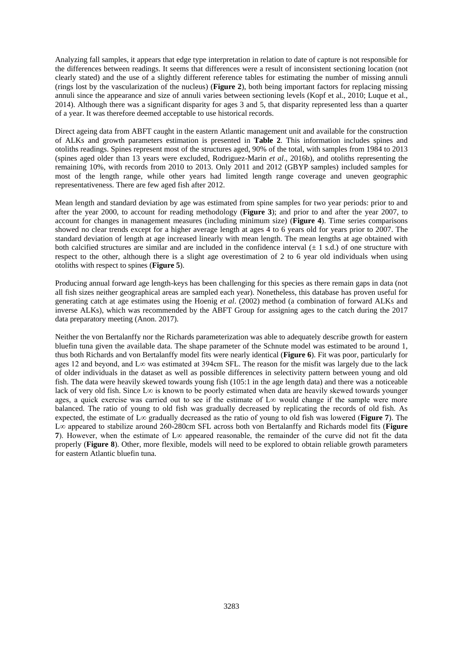Analyzing fall samples, it appears that edge type interpretation in relation to date of capture is not responsible for the differences between readings. It seems that differences were a result of inconsistent sectioning location (not clearly stated) and the use of a slightly different reference tables for estimating the number of missing annuli (rings lost by the vascularization of the nucleus) (**Figure 2**), both being important factors for replacing missing annuli since the appearance and size of annuli varies between sectioning levels (Kopf et al., 2010; Luque et al., 2014). Although there was a significant disparity for ages 3 and 5, that disparity represented less than a quarter of a year. It was therefore deemed acceptable to use historical records.

Direct ageing data from ABFT caught in the eastern Atlantic management unit and available for the construction of ALKs and growth parameters estimation is presented in **Table 2**. This information includes spines and otoliths readings. Spines represent most of the structures aged, 90% of the total, with samples from 1984 to 2013 (spines aged older than 13 years were excluded, Rodriguez-Marin *et al*., 2016b), and otoliths representing the remaining 10%, with records from 2010 to 2013. Only 2011 and 2012 (GBYP samples) included samples for most of the length range, while other years had limited length range coverage and uneven geographic representativeness. There are few aged fish after 2012.

Mean length and standard deviation by age was estimated from spine samples for two year periods: prior to and after the year 2000, to account for reading methodology (**Figure 3**); and prior to and after the year 2007, to account for changes in management measures (including minimum size) (**Figure 4**). Time series comparisons showed no clear trends except for a higher average length at ages 4 to 6 years old for years prior to 2007. The standard deviation of length at age increased linearly with mean length. The mean lengths at age obtained with both calcified structures are similar and are included in the confidence interval  $(\pm 1 \text{ s.d.})$  of one structure with respect to the other, although there is a slight age overestimation of 2 to 6 year old individuals when using otoliths with respect to spines (**Figure 5**).

Producing annual forward age length-keys has been challenging for this species as there remain gaps in data (not all fish sizes neither geographical areas are sampled each year). Nonetheless, this database has proven useful for generating catch at age estimates using the Hoenig *et al*. (2002) method (a combination of forward ALKs and inverse ALKs), which was recommended by the ABFT Group for assigning ages to the catch during the 2017 data preparatory meeting (Anon. 2017).

Neither the von Bertalanffy nor the Richards parameterization was able to adequately describe growth for eastern bluefin tuna given the available data. The shape parameter of the Schnute model was estimated to be around 1, thus both Richards and von Bertalanffy model fits were nearly identical (**Figure 6**). Fit was poor, particularly for ages 12 and beyond, and L∞ was estimated at 394cm SFL. The reason for the misfit was largely due to the lack of older individuals in the dataset as well as possible differences in selectivity pattern between young and old fish. The data were heavily skewed towards young fish (105:1 in the age length data) and there was a noticeable lack of very old fish. Since L∞ is known to be poorly estimated when data are heavily skewed towards younger ages, a quick exercise was carried out to see if the estimate of L∞ would change if the sample were more balanced. The ratio of young to old fish was gradually decreased by replicating the records of old fish. As expected, the estimate of L∞ gradually decreased as the ratio of young to old fish was lowered (**Figure 7**). The L∞ appeared to stabilize around 260-280cm SFL across both von Bertalanffy and Richards model fits (**Figure 7**). However, when the estimate of L∞ appeared reasonable, the remainder of the curve did not fit the data properly (**Figure 8**). Other, more flexible, models will need to be explored to obtain reliable growth parameters for eastern Atlantic bluefin tuna.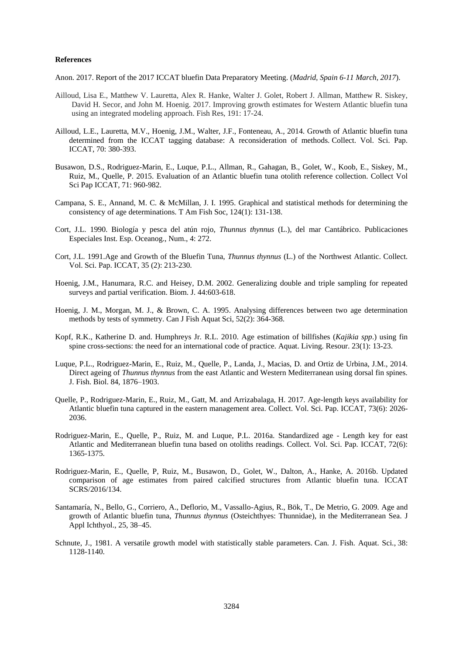### **References**

Anon. 2017. Report of the 2017 ICCAT bluefin Data Preparatory Meeting. (*Madrid, Spain 6-11 March, 2017*).

- Ailloud, Lisa E., Matthew V. Lauretta, Alex R. Hanke, Walter J. Golet, Robert J. Allman, Matthew R. Siskey, David H. Secor, and John M. Hoenig. 2017. Improving growth estimates for Western Atlantic bluefin tuna using an integrated modeling approach. Fish Res, 191: 17-24.
- Ailloud, L.E., Lauretta, M.V., Hoenig, J.M., Walter, J.F., Fonteneau, A., 2014. Growth of Atlantic bluefin tuna determined from the ICCAT tagging database: A reconsideration of methods. Collect. Vol. Sci. Pap. ICCAT, 70: 380-393.
- Busawon, D.S., Rodriguez-Marin, E., Luque, P.L., Allman, R., Gahagan, B., Golet, W., Koob, E., Siskey, M., Ruiz, M., Quelle, P. 2015. Evaluation of an Atlantic bluefin tuna otolith reference collection. Collect Vol Sci Pap ICCAT, 71: 960-982.
- Campana, S. E., Annand, M. C. & McMillan, J. I. 1995. Graphical and statistical methods for determining the consistency of age determinations. T Am Fish Soc, 124(1): 131-138.
- Cort, J.L. 1990. Biología y pesca del atún rojo, *Thunnus thynnus* (L.), del mar Cantábrico. Publicaciones Especiales Inst. Esp. Oceanog., Num., 4: 272.
- Cort, J.L. 1991.Age and Growth of the Bluefin Tuna, *Thunnus thynnus* (L.) of the Northwest Atlantic. Collect. Vol. Sci. Pap. ICCAT, 35 (2): 213-230.
- Hoenig, J.M., Hanumara, R.C. and Heisey, D.M. 2002. Generalizing double and triple sampling for repeated surveys and partial verification. Biom. J. 44:603-618.
- Hoenig, J. M., Morgan, M. J., & Brown, C. A. 1995. Analysing differences between two age determination methods by tests of symmetry. Can J Fish Aquat Sci, 52(2): 364-368.
- Kopf, R.K., Katherine D. and. Humphreys Jr. R.L. 2010. Age estimation of billfishes (*Kajikia spp*.) using fin spine cross-sections: the need for an international code of practice. Aquat. Living. Resour. 23(1): 13-23.
- Luque, P.L., Rodriguez-Marin, E., Ruiz, M., Quelle, P., Landa, J., Macias, D. and Ortiz de Urbina, J.M., 2014. Direct ageing of *Thunnus thynnus* from the east Atlantic and Western Mediterranean using dorsal fin spines. J. Fish. Biol. 84, 1876–1903.
- Quelle, P., Rodriguez-Marin, E., Ruiz, M., Gatt, M. and Arrizabalaga, H. 2017. Age-length keys availability for Atlantic bluefin tuna captured in the eastern management area. Collect. Vol. Sci. Pap. ICCAT, 73(6): 2026- 2036.
- Rodriguez-Marin, E., Quelle, P., Ruiz, M. and Luque, P.L. 2016a. Standardized age Length key for east Atlantic and Mediterranean bluefin tuna based on otoliths readings. Collect. Vol. Sci. Pap. ICCAT, 72(6): 1365-1375.
- Rodriguez-Marin, E., Quelle, P, Ruiz, M., Busawon, D., Golet, W., Dalton, A., Hanke, A. 2016b. Updated comparison of age estimates from paired calcified structures from Atlantic bluefin tuna. ICCAT SCRS/2016/134.
- Santamaría, N., Bello, G., Corriero, A., Deflorio, M., Vassallo-Agius, R., Bök, T., De Metrio, G. 2009. Age and growth of Atlantic bluefin tuna, *Thunnus thynnus* (Osteichthyes: Thunnidae), in the Mediterranean Sea. J Appl Ichthyol., 25, 38–45.
- Schnute, J., 1981. A versatile growth model with statistically stable parameters. Can. J. Fish. Aquat. Sci., 38: 1128-1140.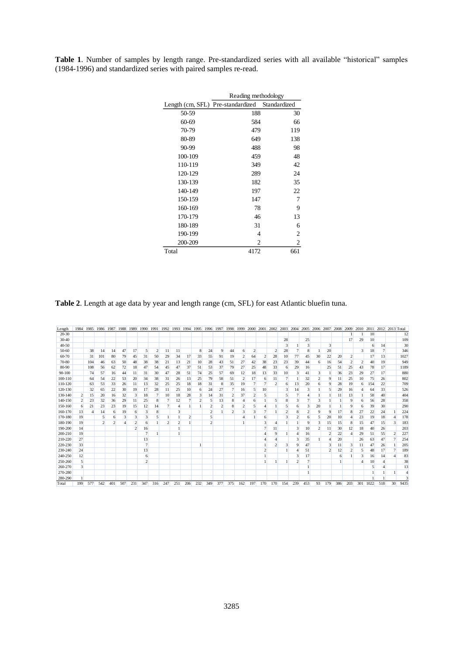|         | Reading methodology                            |     |  |  |  |  |  |  |  |  |  |
|---------|------------------------------------------------|-----|--|--|--|--|--|--|--|--|--|
|         | Length (cm, SFL) Pre-standardized Standardized |     |  |  |  |  |  |  |  |  |  |
| 50-59   | 188                                            | 30  |  |  |  |  |  |  |  |  |  |
| 60-69   | 584                                            | 66  |  |  |  |  |  |  |  |  |  |
| 70-79   | 479                                            | 119 |  |  |  |  |  |  |  |  |  |
| 80-89   | 649                                            | 138 |  |  |  |  |  |  |  |  |  |
| 90-99   | 488                                            | 98  |  |  |  |  |  |  |  |  |  |
| 100-109 | 459                                            | 48  |  |  |  |  |  |  |  |  |  |
| 110-119 | 349                                            | 42  |  |  |  |  |  |  |  |  |  |
| 120-129 | 289                                            | 24  |  |  |  |  |  |  |  |  |  |
| 130-139 | 182                                            | 35  |  |  |  |  |  |  |  |  |  |
| 140-149 | 197                                            | 22  |  |  |  |  |  |  |  |  |  |
| 150-159 | 147                                            | 7   |  |  |  |  |  |  |  |  |  |
| 160-169 | 78                                             | 9   |  |  |  |  |  |  |  |  |  |
| 170-179 | 46                                             | 13  |  |  |  |  |  |  |  |  |  |
| 180-189 | 31                                             | 6   |  |  |  |  |  |  |  |  |  |
| 190-199 | 4                                              | 2   |  |  |  |  |  |  |  |  |  |
| 200-209 | $\overline{c}$                                 | 2   |  |  |  |  |  |  |  |  |  |
| Total   | 4172                                           | 661 |  |  |  |  |  |  |  |  |  |

**Table 1**. Number of samples by length range. Pre-standardized series with all available "historical" samples (1984-1996) and standardized series with paired samples re-read.

**Table 2**. Length at age data by year and length range (cm, SFL) for east Atlantic bluefin tuna.

| Length     | 1984                    | 1985 | 1986                    | 1987 | 1988 | 1989                    | 1990                    | 1991                    | 1992 | 1993 | 1994 | 1995 | 1996                    | 1997                    | 1998           | 1999           | 2000         | 2001 | 2002 2003               |     | 2004 | 2005           | 2006 | 2007                    | 2008 | 2009           | 2010           | 2011 |     | 2012 2013 Total |      |
|------------|-------------------------|------|-------------------------|------|------|-------------------------|-------------------------|-------------------------|------|------|------|------|-------------------------|-------------------------|----------------|----------------|--------------|------|-------------------------|-----|------|----------------|------|-------------------------|------|----------------|----------------|------|-----|-----------------|------|
| $20 - 30$  |                         |      |                         |      |      |                         |                         |                         |      |      |      |      |                         |                         |                |                |              |      |                         |     |      |                |      |                         |      |                |                | 10   |     |                 | 12   |
| 30-40      |                         |      |                         |      |      |                         |                         |                         |      |      |      |      |                         |                         |                |                |              |      |                         | 28  |      | 25             |      |                         |      | 17             | 29             | 10   |     |                 | 109  |
| $40 - 50$  |                         |      |                         |      |      |                         |                         |                         |      |      |      |      |                         |                         |                |                |              |      |                         |     |      | 3              |      | $\overline{\mathbf{3}}$ |      |                |                | 6    | 14  |                 | 30   |
| 50-60      |                         | 38   | 14                      | 14   | 47   | 17                      | 5                       | $\overline{\mathbf{c}}$ | 11   | 11   |      | 8    | 24                      | 9                       | 44             | 6              | 2            |      | $\overline{c}$          | 28  |      | 8              |      | 20                      |      |                | 3              | 18   | 7   |                 | 346  |
| 60-70      |                         | 31   | 101                     | 80   | 79   | 45                      | 31                      | 50                      | 29   | 34   | 17   | 33   | 55                      | 91                      | 19             | $\overline{c}$ | 64           | 2    | 28                      | 10  | 77   | 45             | 30   | 22                      | 20   | 2              |                |      | 13  |                 | 1027 |
| 70-80      |                         | 104  | 46                      | 63   | 50   | 48                      | 38                      | 38                      | 21   | 13   | 21   | 10   | 28                      | 43                      | 51             | 27             | 42           | 38   | 23                      | 23  | 39   | 44             | 6    | 16                      | 54   | $\overline{c}$ | $\overline{c}$ | 40   | 19  |                 | 949  |
| 80-90      |                         | 108  | 56                      | 62   | 72   | 18                      | 47                      | 54                      | 45   | 47   | 37   | 51   | 53                      | 37                      | 79             | 27             | 25           | 48   | 33                      | 6   | 29   | 16             |      | 25                      | 51   | 25             | 43             | 78   | 17  |                 | 1189 |
| $90 - 100$ |                         | 74   | 57                      | 16   | 44   | 11                      | 31                      | 30                      | 47   | 28   | 51   | 74   | 25                      | 57                      | 69             | 12             | 18           | 13   | 33                      | 10  | 3    | 41             | 3    |                         | 36   | 23             | 29             | 27   | 17  |                 | 880  |
| 100-110    |                         | 64   | 54                      | 22   | 53   | 20                      | 34                      | 38                      | 31   | 26   | 13   | 25   | 79                      | 58                      | 51             | $\overline{c}$ | 17           | 6    | 11                      |     |      | 32             |      | 9                       |      | 25             | 10             | 75   | 26  |                 | 802  |
| 110-120    |                         | 63   | 53                      | 33   | 26   | 11                      | 13                      | 32                      | 25   | 25   | 18   | 18   | 31                      | 8                       | 35             | 19             | 7            |      | $\overline{\mathbf{c}}$ | 6   | 13   | 20             | 6    | 9                       | 28   | 19             | 6              | 154  | 22  |                 | 709  |
| 120-130    |                         | 32   | 65                      | 22   | 30   | 19                      | 17                      | 28                      | 11   | 25   | 10   | 6    | 24                      | 27                      |                | 16             | 5            | 10   |                         |     | 14   | 3              |      | 5                       | 29   | 16             | 4              | 64   | 33  |                 | 526  |
| 130-140    | $\overline{\mathbf{c}}$ | 15   | 20                      | 16   | 32   | 3                       | 18                      | 7                       | 10   | 18   | 28   | 3    | 14                      | 31                      | $\overline{c}$ | 37             | 2            |      |                         |     |      | $\overline{4}$ |      |                         |      | 13             |                | 58   | 40  |                 | 404  |
| 140-150    | $\overline{\mathbf{c}}$ | 23   | 32                      | 36   | 29   | 11                      | 25                      | 8                       |      | 12   |      |      |                         | 13                      | 8              | 4              | 6            |      | 5                       | 8   | 3    |                | 3    |                         |      | 9              | 6              | 56   | 28  |                 | 358  |
| 150-160    | 6                       | 21   | 23                      | 23   | 19   | 15                      | 12                      | 14                      |      |      |      |      |                         | $\overline{\mathbf{c}}$ | 8              | 2              | 5            |      |                         |     | 6    | 3              | 20   |                         |      | g              | 6              | 39   | 30  |                 | 290  |
| 160-170    | 13                      |      | 14                      | 6    | 19   | 6                       | 3                       | 8                       |      | 3    |      |      | $\overline{\mathbf{c}}$ |                         | $\mathfrak{D}$ | 3              | $\mathbf{3}$ |      |                         |     | 8    | $\overline{c}$ | 9    | 9                       | 17   | 8              | 27             | 22   | 24  |                 | 224  |
| 170-180    | 19                      |      |                         | 6    | 3    | 3                       | 3                       | 5                       |      |      |      |      |                         |                         |                |                |              | 6    |                         |     |      | 6              | 5    | 20                      | 10   | 4              | 23             | 19   | 18  |                 | 178  |
| 180-190    | 19                      |      | $\overline{\mathbf{c}}$ |      |      | 2                       | 6                       |                         | o    | ↑    |      |      | 2                       |                         |                |                |              | 3    |                         |     |      | 9              | 3    | 15                      | 15   | 8              | 15             | 47   | 15  | 3               | 183  |
| 190-200    | 14                      |      |                         |      |      | $\overline{\mathbf{c}}$ | 16                      |                         |      |      |      |      |                         |                         |                |                |              |      | 11                      |     | 3    | 10             |      | 11                      | 30   | 12             | 18             | 40   | 26  |                 | 203  |
| 200-210    | 19                      |      |                         |      |      |                         | 7                       |                         |      |      |      |      |                         |                         |                |                |              |      | g                       |     | 4    | 16             |      |                         | 22   | Δ              | 29             | 51   | 55  | 2               | 227  |
| 210-220    | 27                      |      |                         |      |      |                         | 13                      |                         |      |      |      |      |                         |                         |                |                |              |      |                         |     | 3    | 35             |      |                         | 20   |                | 26             | 63   | 47  |                 | 254  |
| 220-230    | 33                      |      |                         |      |      |                         | 7                       |                         |      |      |      |      |                         |                         |                |                |              |      | $\overline{\mathbf{c}}$ |     | 9    | 47             |      |                         | 11   | 3              | 11             | 47   | 26  |                 | 205  |
| 230-240    | 24                      |      |                         |      |      |                         | 13                      |                         |      |      |      |      |                         |                         |                |                |              | ٠    |                         |     |      | 51             |      |                         | 12   | 2              | 5              | 48   | 17  |                 | 189  |
| 240-250    | 12                      |      |                         |      |      |                         | 6                       |                         |      |      |      |      |                         |                         |                |                |              |      |                         |     | 3    | 17             |      |                         | 6    |                | 3              | 16   | 14  |                 | 83   |
| 250-260    | 5                       |      |                         |      |      |                         | $\overline{\mathbf{c}}$ |                         |      |      |      |      |                         |                         |                |                |              |      |                         |     | C    |                |      |                         |      |                |                | 10   |     |                 | 38   |
| 260-270    | $\overline{\mathbf{3}}$ |      |                         |      |      |                         |                         |                         |      |      |      |      |                         |                         |                |                |              |      |                         |     |      |                |      |                         |      |                |                | 5    | 4   |                 | 13   |
| 270-280    |                         |      |                         |      |      |                         |                         |                         |      |      |      |      |                         |                         |                |                |              |      |                         |     |      |                |      |                         |      |                |                |      |     |                 |      |
| 280-290    |                         |      |                         |      |      |                         |                         |                         |      |      |      |      |                         |                         |                |                |              |      |                         |     |      |                |      |                         |      |                |                |      |     |                 | з    |
| Total      | 199                     | 577  | 542                     | 401  | 507  | 231                     | 347                     | 316                     | 247  | 251  | 206  | 232  | 349                     | 377                     | 375            | 162            | 197          | 170  | 170                     | 154 | 239  | 453            | 93   | 179                     | 386  | 203            | 301            | 1022 | 518 | 30              | 9435 |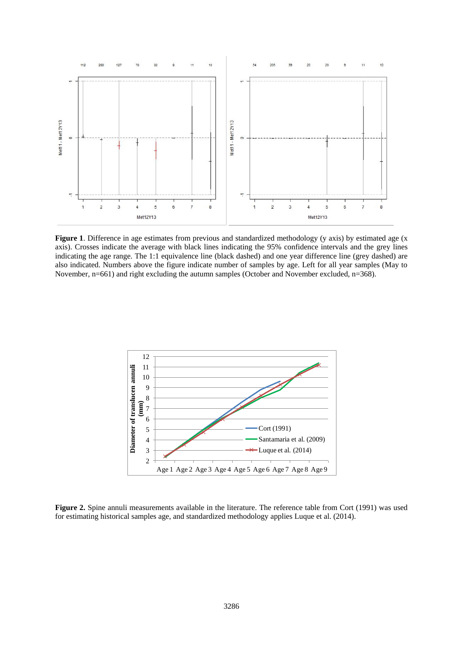

**Figure 1**. Difference in age estimates from previous and standardized methodology (y axis) by estimated age (x axis). Crosses indicate the average with black lines indicating the 95% confidence intervals and the grey lines indicating the age range. The 1:1 equivalence line (black dashed) and one year difference line (grey dashed) are also indicated. Numbers above the figure indicate number of samples by age. Left for all year samples (May to November, n=661) and right excluding the autumn samples (October and November excluded, n=368).



**Figure 2.** Spine annuli measurements available in the literature. The reference table from Cort (1991) was used for estimating historical samples age, and standardized methodology applies Luque et al. (2014).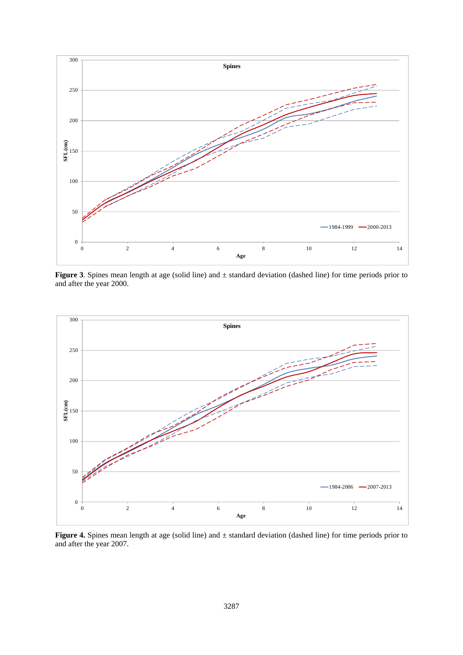

**Figure 3**. Spines mean length at age (solid line) and ± standard deviation (dashed line) for time periods prior to and after the year 2000.



**Figure 4.** Spines mean length at age (solid line) and ± standard deviation (dashed line) for time periods prior to and after the year 2007.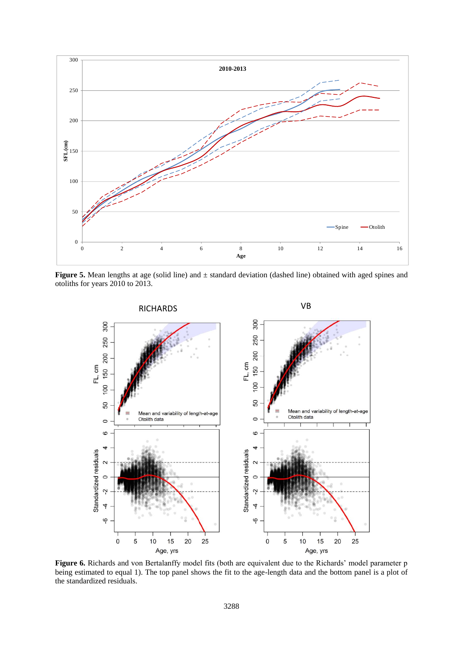

**Figure 5.** Mean lengths at age (solid line) and ± standard deviation (dashed line) obtained with aged spines and otoliths for years 2010 to 2013.



**Figure 6.** Richards and von Bertalanffy model fits (both are equivalent due to the Richards' model parameter p being estimated to equal 1). The top panel shows the fit to the age-length data and the bottom panel is a plot of the standardized residuals.